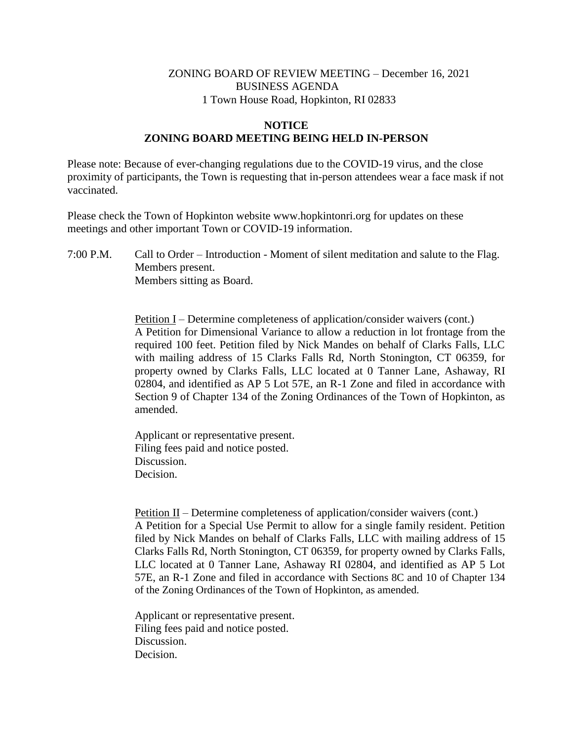## ZONING BOARD OF REVIEW MEETING – December 16, 2021 BUSINESS AGENDA 1 Town House Road, Hopkinton, RI 02833

## **NOTICE ZONING BOARD MEETING BEING HELD IN-PERSON**

Please note: Because of ever-changing regulations due to the COVID-19 virus, and the close proximity of participants, the Town is requesting that in-person attendees wear a face mask if not vaccinated.

Please check the Town of Hopkinton website www.hopkintonri.org for updates on these meetings and other important Town or COVID-19 information.

7:00 P.M. Call to Order – Introduction - Moment of silent meditation and salute to the Flag. Members present. Members sitting as Board.

> Petition I – Determine completeness of application/consider waivers (cont.) A Petition for Dimensional Variance to allow a reduction in lot frontage from the required 100 feet. Petition filed by Nick Mandes on behalf of Clarks Falls, LLC with mailing address of 15 Clarks Falls Rd, North Stonington, CT 06359, for property owned by Clarks Falls, LLC located at 0 Tanner Lane, Ashaway, RI 02804, and identified as AP 5 Lot 57E, an R-1 Zone and filed in accordance with Section 9 of Chapter 134 of the Zoning Ordinances of the Town of Hopkinton, as amended.

Applicant or representative present. Filing fees paid and notice posted. Discussion. Decision.

Petition II – Determine completeness of application/consider waivers (cont.) A Petition for a Special Use Permit to allow for a single family resident. Petition filed by Nick Mandes on behalf of Clarks Falls, LLC with mailing address of 15 Clarks Falls Rd, North Stonington, CT 06359, for property owned by Clarks Falls, LLC located at 0 Tanner Lane, Ashaway RI 02804, and identified as AP 5 Lot 57E, an R-1 Zone and filed in accordance with Sections 8C and 10 of Chapter 134 of the Zoning Ordinances of the Town of Hopkinton, as amended.

Applicant or representative present. Filing fees paid and notice posted. Discussion. Decision.